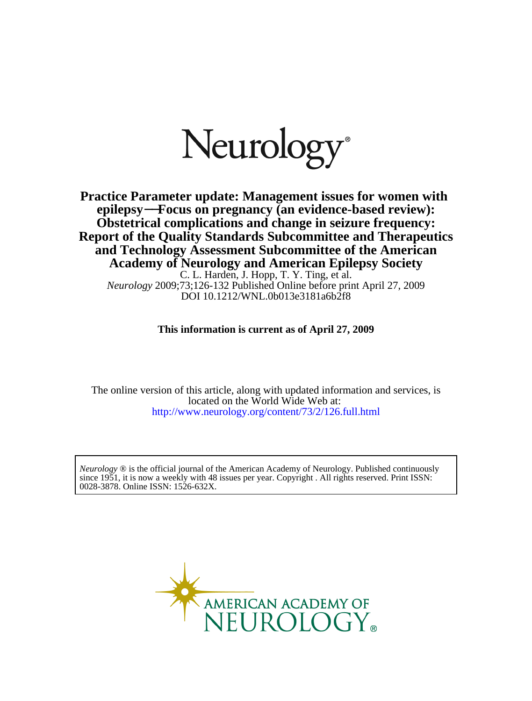

**Academy of Neurology and American Epilepsy Society and Technology Assessment Subcommittee of the American Report of the Quality Standards Subcommittee and Therapeutics Obstetrical complications and change in seizure frequency: epilepsy**−−**Focus on pregnancy (an evidence-based review): Practice Parameter update: Management issues for women with**

DOI 10.1212/WNL.0b013e3181a6b2f8 *Neurology* 2009;73;126-132 Published Online before print April 27, 2009 C. L. Harden, J. Hopp, T. Y. Ting, et al.

**This information is current as of April 27, 2009**

<http://www.neurology.org/content/73/2/126.full.html> located on the World Wide Web at: The online version of this article, along with updated information and services, is

0028-3878. Online ISSN: 1526-632X. since 1951, it is now a weekly with 48 issues per year. Copyright . All rights reserved. Print ISSN: *Neurology* ® is the official journal of the American Academy of Neurology. Published continuously

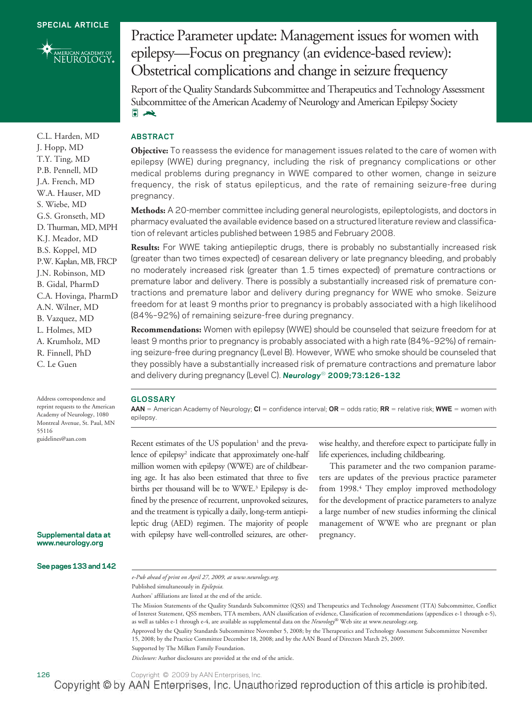

C.L. Harden, MD J. Hopp, MD T.Y. Ting, MD P.B. Pennell, MD J.A. French, MD W.A. Hauser, MD S. Wiebe, MD G.S. Gronseth, MD D. Thurman, MD, MPH K.J. Meador, MD B.S. Koppel, MD P.W. Kaplan, MB, FRCP J.N. Robinson, MD B. Gidal, PharmD C.A. Hovinga, PharmD A.N. Wilner, MD B. Vazquez, MD L. Holmes, MD A. Krumholz, MD R. Finnell, PhD C. Le Guen

Address correspondence and reprint requests to the American Academy of Neurology, 1080 Montreal Avenue, St. Paul, MN 55116 guidelines@aan.com

**www.neurology.org**

#### **See pages 133 and 142**

# Practice Parameter update: Management issues for women with epilepsy—Focus on pregnancy (an evidence-based review): Obstetrical complications and change in seizure frequency

Report of the Quality Standards Subcommittee and Therapeutics and Technology Assessment Subcommittee of the American Academy of Neurology and American Epilepsy Society

## **ABSTRACT**

**Objective:** To reassess the evidence for management issues related to the care of women with epilepsy (WWE) during pregnancy, including the risk of pregnancy complications or other medical problems during pregnancy in WWE compared to other women, change in seizure frequency, the risk of status epilepticus, and the rate of remaining seizure-free during pregnancy.

**Methods:** A 20-member committee including general neurologists, epileptologists, and doctors in pharmacy evaluated the available evidence based on a structured literature review and classification of relevant articles published between 1985 and February 2008.

**Results:** For WWE taking antiepileptic drugs, there is probably no substantially increased risk (greater than two times expected) of cesarean delivery or late pregnancy bleeding, and probably no moderately increased risk (greater than 1.5 times expected) of premature contractions or premature labor and delivery. There is possibly a substantially increased risk of premature contractions and premature labor and delivery during pregnancy for WWE who smoke. Seizure freedom for at least 9 months prior to pregnancy is probably associated with a high likelihood (84%–92%) of remaining seizure-free during pregnancy.

**Recommendations:** Women with epilepsy (WWE) should be counseled that seizure freedom for at least 9 months prior to pregnancy is probably associated with a high rate (84%–92%) of remaining seizure-free during pregnancy (Level B). However, WWE who smoke should be counseled that they possibly have a substantially increased risk of premature contractions and premature labor and delivery during pregnancy (Level C). *Neurology*® **2009;73:126–132**

### **GLOSSARY**

AAN = American Academy of Neurology; CI = confidence interval; OR = odds ratio; RR = relative risk; WWE = women with epilepsy.

Recent estimates of the US population $<sup>1</sup>$  and the preva-</sup> lence of epilepsy<sup>2</sup> indicate that approximately one-half million women with epilepsy (WWE) are of childbearing age. It has also been estimated that three to five births per thousand will be to WWE.<sup>3</sup> Epilepsy is defined by the presence of recurrent, unprovoked seizures, and the treatment is typically a daily, long-term antiepileptic drug (AED) regimen. The majority of people **Supplemental data at** with epilepsy have well-controlled seizures, are other- pregnancy.

wise healthy, and therefore expect to participate fully in life experiences, including childbearing.

This parameter and the two companion parameters are updates of the previous practice parameter from 1998.<sup>4</sup> They employ improved methodology for the development of practice parameters to analyze a large number of new studies informing the clinical management of WWE who are pregnant or plan

The Mission Statements of the Quality Standards Subcommittee (QSS) and Therapeutics and Technology Assessment (TTA) Subcommittee, Conflict of Interest Statement, QSS members, TTA members, AAN classification of evidence, Classification of recommendations (appendices e-1 through e-5), as well as tables e-1 through e-4, are available as supplemental data on the *Neurology*® Web site at www.neurology.org.

Approved by the Quality Standards Subcommittee November 5, 2008; by the Therapeutics and Technology Assessment Subcommittee November 15, 2008; by the Practice Committee December 18, 2008; and by the AAN Board of Directors March 25, 2009.

*Disclosure:* Author disclosures are provided at the end of the article.

*e-Pub ahead of print on April 27, 2009, at www.neurology.org.* Published simultaneously in *Epilepsia.*

Authors' affiliations are listed at the end of the article.

Supported by The Milken Family Foundation.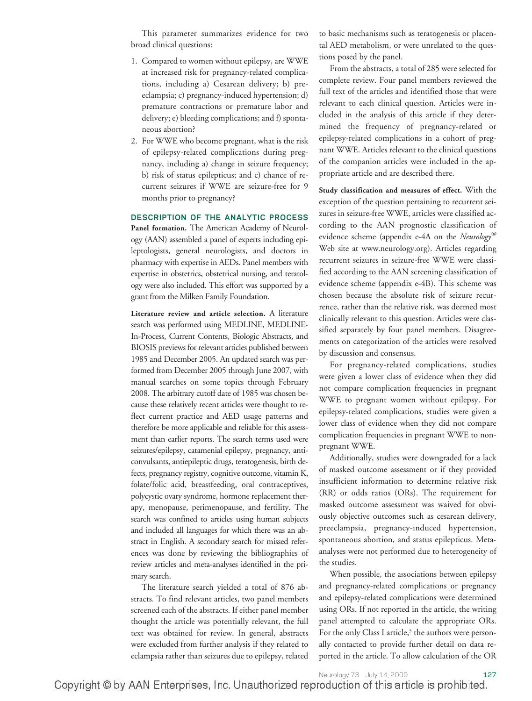This parameter summarizes evidence for two broad clinical questions:

- 1. Compared to women without epilepsy, are WWE at increased risk for pregnancy-related complications, including a) Cesarean delivery; b) preeclampsia; c) pregnancy-induced hypertension; d) premature contractions or premature labor and delivery; e) bleeding complications; and f) spontaneous abortion?
- 2. For WWE who become pregnant, what is the risk of epilepsy-related complications during pregnancy, including a) change in seizure frequency; b) risk of status epilepticus; and c) chance of recurrent seizures if WWE are seizure-free for 9 months prior to pregnancy?

#### **DESCRIPTION OF THE ANALYTIC PROCESS**

**Panel formation.** The American Academy of Neurology (AAN) assembled a panel of experts including epileptologists, general neurologists, and doctors in pharmacy with expertise in AEDs. Panel members with expertise in obstetrics, obstetrical nursing, and teratology were also included. This effort was supported by a grant from the Milken Family Foundation.

**Literature review and article selection.** A literature search was performed using MEDLINE, MEDLINE-In-Process, Current Contents, Biologic Abstracts, and BIOSIS previews for relevant articles published between 1985 and December 2005. An updated search was performed from December 2005 through June 2007, with manual searches on some topics through February 2008. The arbitrary cutoff date of 1985 was chosen because these relatively recent articles were thought to reflect current practice and AED usage patterns and therefore be more applicable and reliable for this assessment than earlier reports. The search terms used were seizures/epilepsy, catamenial epilepsy, pregnancy, anticonvulsants, antiepileptic drugs, teratogenesis, birth defects, pregnancy registry, cognitive outcome, vitamin K, folate/folic acid, breastfeeding, oral contraceptives, polycystic ovary syndrome, hormone replacement therapy, menopause, perimenopause, and fertility. The search was confined to articles using human subjects and included all languages for which there was an abstract in English. A secondary search for missed references was done by reviewing the bibliographies of review articles and meta-analyses identified in the primary search.

The literature search yielded a total of 876 abstracts. To find relevant articles, two panel members screened each of the abstracts. If either panel member thought the article was potentially relevant, the full text was obtained for review. In general, abstracts were excluded from further analysis if they related to eclampsia rather than seizures due to epilepsy, related to basic mechanisms such as teratogenesis or placental AED metabolism, or were unrelated to the questions posed by the panel.

From the abstracts, a total of 285 were selected for complete review. Four panel members reviewed the full text of the articles and identified those that were relevant to each clinical question. Articles were included in the analysis of this article if they determined the frequency of pregnancy-related or epilepsy-related complications in a cohort of pregnant WWE. Articles relevant to the clinical questions of the companion articles were included in the appropriate article and are described there.

**Study classification and measures of effect.** With the exception of the question pertaining to recurrent seizures in seizure-free WWE, articles were classified according to the AAN prognostic classification of evidence scheme (appendix e-4A on the *Neurology®* Web site at www.neurology.org). Articles regarding recurrent seizures in seizure-free WWE were classified according to the AAN screening classification of evidence scheme (appendix e-4B). This scheme was chosen because the absolute risk of seizure recurrence, rather than the relative risk, was deemed most clinically relevant to this question. Articles were classified separately by four panel members. Disagreements on categorization of the articles were resolved by discussion and consensus.

For pregnancy-related complications, studies were given a lower class of evidence when they did not compare complication frequencies in pregnant WWE to pregnant women without epilepsy. For epilepsy-related complications, studies were given a lower class of evidence when they did not compare complication frequencies in pregnant WWE to nonpregnant WWE.

Additionally, studies were downgraded for a lack of masked outcome assessment or if they provided insufficient information to determine relative risk (RR) or odds ratios (ORs). The requirement for masked outcome assessment was waived for obviously objective outcomes such as cesarean delivery, preeclampsia, pregnancy-induced hypertension, spontaneous abortion, and status epilepticus. Metaanalyses were not performed due to heterogeneity of the studies.

When possible, the associations between epilepsy and pregnancy-related complications or pregnancy and epilepsy-related complications were determined using ORs. If not reported in the article, the writing panel attempted to calculate the appropriate ORs. For the only Class I article,<sup>5</sup> the authors were personally contacted to provide further detail on data reported in the article. To allow calculation of the OR

Neurology 73 July 14, 2009 127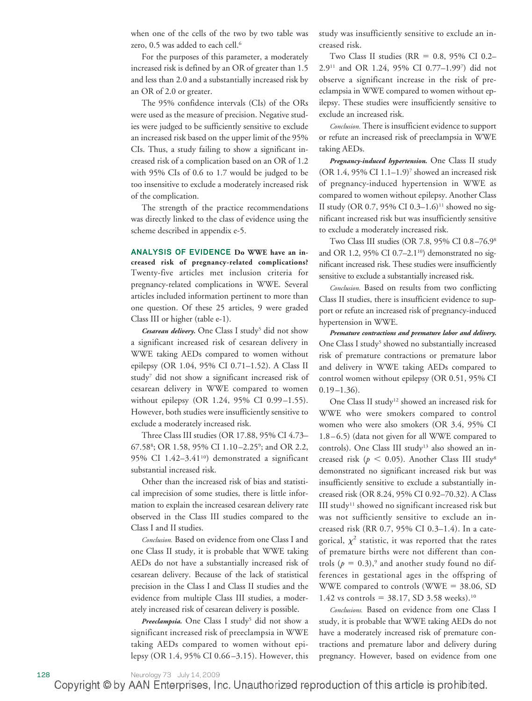when one of the cells of the two by two table was zero, 0.5 was added to each cell.<sup>6</sup>

For the purposes of this parameter, a moderately increased risk is defined by an OR of greater than 1.5 and less than 2.0 and a substantially increased risk by an OR of 2.0 or greater.

The 95% confidence intervals (CIs) of the ORs were used as the measure of precision. Negative studies were judged to be sufficiently sensitive to exclude an increased risk based on the upper limit of the 95% CIs. Thus, a study failing to show a significant increased risk of a complication based on an OR of 1.2 with 95% CIs of 0.6 to 1.7 would be judged to be too insensitive to exclude a moderately increased risk of the complication.

The strength of the practice recommendations was directly linked to the class of evidence using the scheme described in appendix e-5.

**ANALYSIS OF EVIDENCE Do WWE have an increased risk of pregnancy-related complications?** Twenty-five articles met inclusion criteria for pregnancy-related complications in WWE. Several articles included information pertinent to more than one question. Of these 25 articles, 9 were graded Class III or higher (table e-1).

*Cesarean delivery*. One Class I study<sup>5</sup> did not show a significant increased risk of cesarean delivery in WWE taking AEDs compared to women without epilepsy (OR 1.04, 95% CI 0.71–1.52). A Class II study7 did not show a significant increased risk of cesarean delivery in WWE compared to women without epilepsy (OR 1.24, 95% CI 0.99-1.55). However, both studies were insufficiently sensitive to exclude a moderately increased risk.

Three Class III studies (OR 17.88, 95% CI 4.73– 67.588 ; OR 1.58, 95% CI 1.10 –2.259 ; and OR 2.2, 95% CI 1.42–3.4110) demonstrated a significant substantial increased risk.

Other than the increased risk of bias and statistical imprecision of some studies, there is little information to explain the increased cesarean delivery rate observed in the Class III studies compared to the Class I and II studies.

*Conclusion.* Based on evidence from one Class I and one Class II study, it is probable that WWE taking AEDs do not have a substantially increased risk of cesarean delivery. Because of the lack of statistical precision in the Class I and Class II studies and the evidence from multiple Class III studies, a moderately increased risk of cesarean delivery is possible.

Preeclampsia. One Class I study<sup>5</sup> did not show a significant increased risk of preeclampsia in WWE taking AEDs compared to women without epilepsy (OR 1.4, 95% CI 0.66 –3.15). However, this study was insufficiently sensitive to exclude an increased risk.

Two Class II studies ( $RR = 0.8$ , 95% CI 0.2– 2.911 and OR 1.24, 95% CI 0.77–1.997 ) did not observe a significant increase in the risk of preeclampsia in WWE compared to women without epilepsy. These studies were insufficiently sensitive to exclude an increased risk.

*Conclusion.* There is insufficient evidence to support or refute an increased risk of preeclampsia in WWE taking AEDs.

*Pregnancy-induced hypertension.* One Class II study (OR  $1.4$ , 95% CI  $1.1-1.9$ )<sup>7</sup> showed an increased risk of pregnancy-induced hypertension in WWE as compared to women without epilepsy. Another Class II study (OR 0.7, 95% CI 0.3-1.6)<sup>11</sup> showed no significant increased risk but was insufficiently sensitive to exclude a moderately increased risk.

Two Class III studies (OR 7.8, 95% CI 0.8–76.98 and OR 1.2, 95% CI 0.7-2.1<sup>10</sup>) demonstrated no significant increased risk. These studies were insufficiently sensitive to exclude a substantially increased risk.

*Conclusion.* Based on results from two conflicting Class II studies, there is insufficient evidence to support or refute an increased risk of pregnancy-induced hypertension in WWE.

*Premature contractions and premature labor and delivery.* One Class I study<sup>5</sup> showed no substantially increased risk of premature contractions or premature labor and delivery in WWE taking AEDs compared to control women without epilepsy (OR 0.51, 95% CI  $0.19 - 1.36$ .

One Class II study<sup>12</sup> showed an increased risk for WWE who were smokers compared to control women who were also smokers (OR 3.4, 95% CI 1.8 – 6.5) (data not given for all WWE compared to controls). One Class III study<sup>13</sup> also showed an increased risk ( $p < 0.05$ ). Another Class III study<sup>8</sup> demonstrated no significant increased risk but was insufficiently sensitive to exclude a substantially increased risk (OR 8.24, 95% CI 0.92–70.32). A Class III study<sup>11</sup> showed no significant increased risk but was not sufficiently sensitive to exclude an increased risk (RR 0.7, 95% CI 0.3–1.4). In a categorical,  $\chi^2$  statistic, it was reported that the rates of premature births were not different than controls  $(p = 0.3)$ ,<sup>9</sup> and another study found no differences in gestational ages in the offspring of WWE compared to controls (WWE  $=$  38.06, SD 1.42 vs controls =  $38.17$ , SD 3.58 weeks).<sup>10</sup>

*Conclusions.* Based on evidence from one Class I study, it is probable that WWE taking AEDs do not have a moderately increased risk of premature contractions and premature labor and delivery during pregnancy. However, based on evidence from one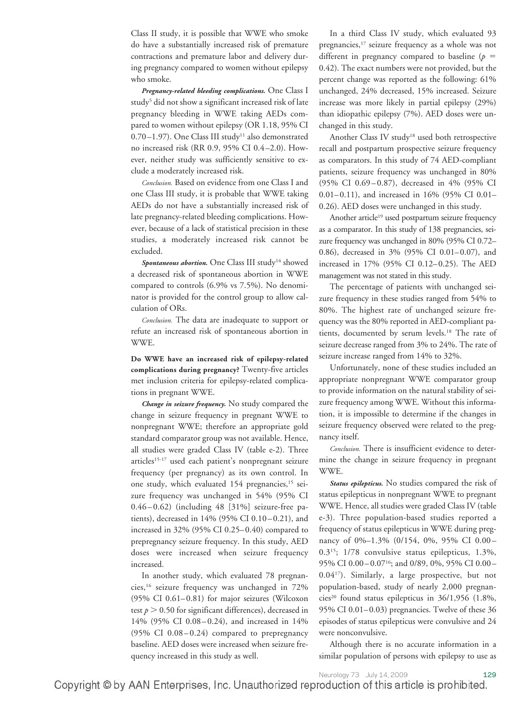Class II study, it is possible that WWE who smoke do have a substantially increased risk of premature contractions and premature labor and delivery during pregnancy compared to women without epilepsy who smoke.

*Pregnancy-related bleeding complications.* One Class I study<sup>5</sup> did not show a significant increased risk of late pregnancy bleeding in WWE taking AEDs compared to women without epilepsy (OR 1.18, 95% CI  $0.70 - 1.97$ ). One Class III study<sup>11</sup> also demonstrated no increased risk (RR 0.9, 95% CI 0.4 –2.0). However, neither study was sufficiently sensitive to exclude a moderately increased risk.

*Conclusion.* Based on evidence from one Class I and one Class III study, it is probable that WWE taking AEDs do not have a substantially increased risk of late pregnancy-related bleeding complications. However, because of a lack of statistical precision in these studies, a moderately increased risk cannot be excluded.

Spontaneous abortion. One Class III study<sup>14</sup> showed a decreased risk of spontaneous abortion in WWE compared to controls (6.9% vs 7.5%). No denominator is provided for the control group to allow calculation of ORs.

*Conclusion.* The data are inadequate to support or refute an increased risk of spontaneous abortion in WWE.

**Do WWE have an increased risk of epilepsy-related complications during pregnancy?** Twenty-five articles met inclusion criteria for epilepsy-related complications in pregnant WWE.

*Change in seizure frequency.* No study compared the change in seizure frequency in pregnant WWE to nonpregnant WWE; therefore an appropriate gold standard comparator group was not available. Hence, all studies were graded Class IV (table e-2). Three articles<sup>15-17</sup> used each patient's nonpregnant seizure frequency (per pregnancy) as its own control. In one study, which evaluated 154 pregnancies,<sup>15</sup> seizure frequency was unchanged in 54% (95% CI  $0.46 - 0.62$ ) (including  $48$  [31%] seizure-free patients), decreased in  $14\%$  (95% CI 0.10 – 0.21), and increased in  $32\%$  (95% CI 0.25–0.40) compared to prepregnancy seizure frequency. In this study, AED doses were increased when seizure frequency increased.

In another study, which evaluated 78 pregnancies,16 seizure frequency was unchanged in 72%  $(95\% \text{ CI } 0.61-0.81)$  for major seizures (Wilcoxon test  $p > 0.50$  for significant differences), decreased in 14% (95% CI 0.08 – 0.24), and increased in 14%  $(95\% \text{ CI } 0.08 - 0.24)$  compared to prepregnancy baseline. AED doses were increased when seizure frequency increased in this study as well.

In a third Class IV study, which evaluated 93 pregnancies,<sup>17</sup> seizure frequency as a whole was not different in pregnancy compared to baseline (*p* 0.42). The exact numbers were not provided, but the percent change was reported as the following: 61% unchanged, 24% decreased, 15% increased. Seizure increase was more likely in partial epilepsy (29%) than idiopathic epilepsy (7%). AED doses were unchanged in this study.

Another Class IV study<sup>18</sup> used both retrospective recall and postpartum prospective seizure frequency as comparators. In this study of 74 AED-compliant patients, seizure frequency was unchanged in 80% (95% CI 0.69 – 0.87), decreased in 4% (95% CI 0.01– 0.11), and increased in 16% (95% CI 0.01– 0.26). AED doses were unchanged in this study.

Another article<sup>19</sup> used postpartum seizure frequency as a comparator. In this study of 138 pregnancies, seizure frequency was unchanged in 80% (95% CI 0.72– 0.86), decreased in 3% (95% CI 0.01-0.07), and increased in 17% (95% CI 0.12– 0.25). The AED management was not stated in this study.

The percentage of patients with unchanged seizure frequency in these studies ranged from 54% to 80%. The highest rate of unchanged seizure frequency was the 80% reported in AED-compliant patients, documented by serum levels.18 The rate of seizure decrease ranged from 3% to 24%. The rate of seizure increase ranged from 14% to 32%.

Unfortunately, none of these studies included an appropriate nonpregnant WWE comparator group to provide information on the natural stability of seizure frequency among WWE. Without this information, it is impossible to determine if the changes in seizure frequency observed were related to the pregnancy itself.

*Conclusion.* There is insufficient evidence to determine the change in seizure frequency in pregnant WWE.

*Status epilepticus.* No studies compared the risk of status epilepticus in nonpregnant WWE to pregnant WWE. Hence, all studies were graded Class IV (table e-3). Three population-based studies reported a frequency of status epilepticus in WWE during pregnancy of 0%–1.3% (0/154, 0%, 95% CI 0.00 – 0.315; 1/78 convulsive status epilepticus, 1.3%, 95% CI 0.00 - 0.07<sup>16</sup>; and 0/89, 0%, 95% CI 0.00 -0.0417). Similarly, a large prospective, but not population-based, study of nearly 2,000 pregnancies<sup>20</sup> found status epilepticus in  $36/1,956$  (1.8%, 95% CI 0.01– 0.03) pregnancies. Twelve of these 36 episodes of status epilepticus were convulsive and 24 were nonconvulsive.

Although there is no accurate information in a similar population of persons with epilepsy to use as

Neurology 73 July 14, 2009 129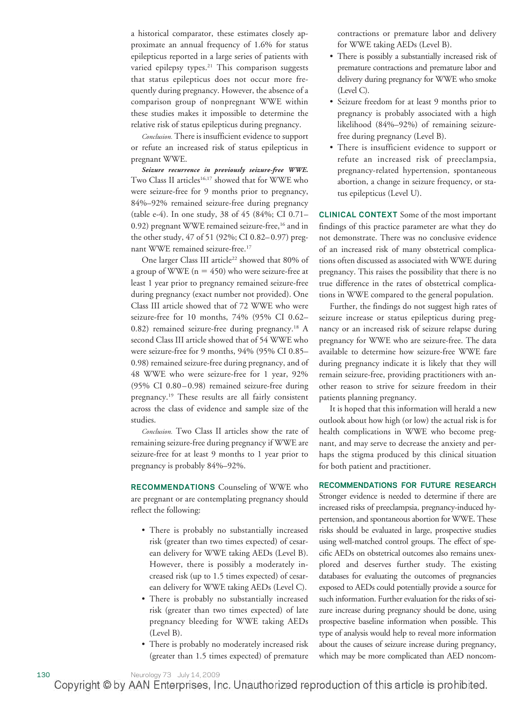a historical comparator, these estimates closely approximate an annual frequency of 1.6% for status epilepticus reported in a large series of patients with varied epilepsy types. $21$  This comparison suggests that status epilepticus does not occur more frequently during pregnancy. However, the absence of a comparison group of nonpregnant WWE within these studies makes it impossible to determine the relative risk of status epilepticus during pregnancy.

*Conclusion.* There is insufficient evidence to support or refute an increased risk of status epilepticus in pregnant WWE.

*Seizure recurrence in previously seizure-free WWE.* Two Class II articles<sup>16,17</sup> showed that for WWE who were seizure-free for 9 months prior to pregnancy, 84%–92% remained seizure-free during pregnancy (table e-4). In one study, 38 of 45 (84%; CI 0.71– 0.92) pregnant WWE remained seizure-free,<sup>16</sup> and in the other study, 47 of 51 (92%; CI 0.82– 0.97) pregnant WWE remained seizure-free.<sup>17</sup>

One larger Class III article<sup>22</sup> showed that 80% of a group of WWE ( $n = 450$ ) who were seizure-free at least 1 year prior to pregnancy remained seizure-free during pregnancy (exact number not provided). One Class III article showed that of 72 WWE who were seizure-free for 10 months, 74% (95% CI 0.62– 0.82) remained seizure-free during pregnancy.<sup>18</sup> A second Class III article showed that of 54 WWE who were seizure-free for 9 months, 94% (95% CI 0.85– 0.98) remained seizure-free during pregnancy, and of 48 WWE who were seizure-free for 1 year, 92%  $(95\% \text{ CI } 0.80 - 0.98)$  remained seizure-free during pregnancy.19 These results are all fairly consistent across the class of evidence and sample size of the studies.

*Conclusion.* Two Class II articles show the rate of remaining seizure-free during pregnancy if WWE are seizure-free for at least 9 months to 1 year prior to pregnancy is probably 84%–92%.

**RECOMMENDATIONS** Counseling of WWE who are pregnant or are contemplating pregnancy should reflect the following:

- There is probably no substantially increased risk (greater than two times expected) of cesarean delivery for WWE taking AEDs (Level B). However, there is possibly a moderately increased risk (up to 1.5 times expected) of cesarean delivery for WWE taking AEDs (Level C).
- There is probably no substantially increased risk (greater than two times expected) of late pregnancy bleeding for WWE taking AEDs (Level B).
- There is probably no moderately increased risk (greater than 1.5 times expected) of premature

contractions or premature labor and delivery for WWE taking AEDs (Level B).

- There is possibly a substantially increased risk of premature contractions and premature labor and delivery during pregnancy for WWE who smoke (Level C).
- Seizure freedom for at least 9 months prior to pregnancy is probably associated with a high likelihood (84%–92%) of remaining seizurefree during pregnancy (Level B).
- There is insufficient evidence to support or refute an increased risk of preeclampsia, pregnancy-related hypertension, spontaneous abortion, a change in seizure frequency, or status epilepticus (Level U).

**CLINICAL CONTEXT** Some of the most important findings of this practice parameter are what they do not demonstrate. There was no conclusive evidence of an increased risk of many obstetrical complications often discussed as associated with WWE during pregnancy. This raises the possibility that there is no true difference in the rates of obstetrical complications in WWE compared to the general population.

Further, the findings do not suggest high rates of seizure increase or status epilepticus during pregnancy or an increased risk of seizure relapse during pregnancy for WWE who are seizure-free. The data available to determine how seizure-free WWE fare during pregnancy indicate it is likely that they will remain seizure-free, providing practitioners with another reason to strive for seizure freedom in their patients planning pregnancy.

It is hoped that this information will herald a new outlook about how high (or low) the actual risk is for health complications in WWE who become pregnant, and may serve to decrease the anxiety and perhaps the stigma produced by this clinical situation for both patient and practitioner.

## **RECOMMENDATIONS FOR FUTURE RESEARCH**

Stronger evidence is needed to determine if there are increased risks of preeclampsia, pregnancy-induced hypertension, and spontaneous abortion for WWE. These risks should be evaluated in large, prospective studies using well-matched control groups. The effect of specific AEDs on obstetrical outcomes also remains unexplored and deserves further study. The existing databases for evaluating the outcomes of pregnancies exposed to AEDs could potentially provide a source for such information. Further evaluation for the risks of seizure increase during pregnancy should be done, using prospective baseline information when possible. This type of analysis would help to reveal more information about the causes of seizure increase during pregnancy, which may be more complicated than AED noncom-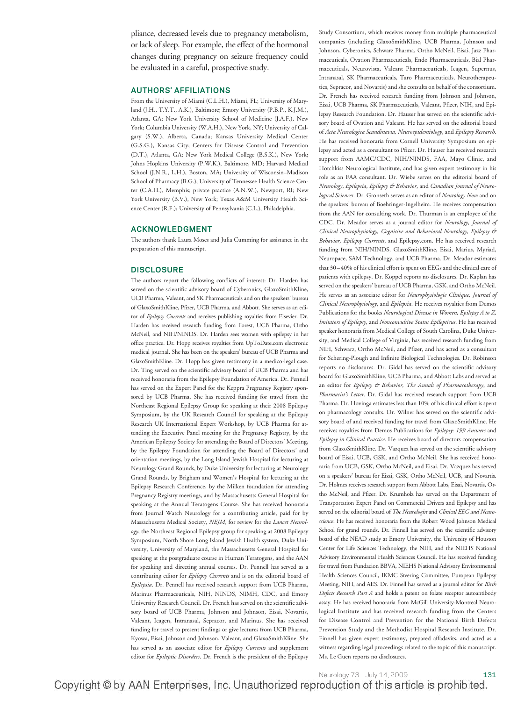pliance, decreased levels due to pregnancy metabolism, or lack of sleep. For example, the effect of the hormonal changes during pregnancy on seizure frequency could be evaluated in a careful, prospective study.

#### **AUTHORS' AFFILIATIONS**

From the University of Miami (C.L.H.), Miami, FL; University of Maryland (J.H., T.Y.T., A.K.), Baltimore; Emory University (P.B.P., K.J.M.), Atlanta, GA; New York University School of Medicine (J.A.F.), New York; Columbia University (W.A.H.), New York, NY; University of Calgary (S.W.), Alberta, Canada; Kansas University Medical Center (G.S.G.), Kansas City; Centers for Disease Control and Prevention (D.T.), Atlanta, GA; New York Medical College (B.S.K.), New York; Johns Hopkins University (P.W.K.), Baltimore, MD; Harvard Medical School (J.N.R., L.H.), Boston, MA; University of Wisconsin–Madison School of Pharmacy (B.G.); University of Tennessee Health Science Center (C.A.H.), Memphis; private practice (A.N.W.), Newport, RI; New York University (B.V.), New York; Texas A&M University Health Science Center (R.F.); University of Pennsylvania (C.L.), Philadelphia.

#### **ACKNOWLEDGMENT**

The authors thank Laura Moses and Julia Cumming for assistance in the preparation of this manuscript.

#### **DISCLOSURE**

The authors report the following conflicts of interest: Dr. Harden has served on the scientific advisory board of Cyberonics, GlaxoSmithKline, UCB Pharma, Valeant, and SK Pharmaceuticals and on the speakers' bureau of GlaxoSmithKline, Pfizer, UCB Pharma, and Abbott. She serves as an editor of *Epilepsy Currents* and receives publishing royalties from Elsevier. Dr. Harden has received research funding from Forest, UCB Pharma, Ortho McNeil, and NIH/NINDS. Dr. Harden sees women with epilepsy in her office practice. Dr. Hopp receives royalties from UpToDate.com electronic medical journal. She has been on the speakers' bureau of UCB Pharma and GlaxoSmithKline. Dr. Hopp has given testimony in a medico-legal case. Dr. Ting served on the scientific advisory board of UCB Pharma and has received honoraria from the Epilepsy Foundation of America. Dr. Pennell has served on the Expert Panel for the Keppra Pregnancy Registry sponsored by UCB Pharma. She has received funding for travel from the Northeast Regional Epilepsy Group for speaking at their 2008 Epilepsy Symposium, by the UK Research Council for speaking at the Epilepsy Research UK International Expert Workshop, by UCB Pharma for attending the Executive Panel meeting for the Pregnancy Registry, by the American Epilepsy Society for attending the Board of Directors' Meeting, by the Epilepsy Foundation for attending the Board of Directors' and orientation meetings, by the Long Island Jewish Hospital for lecturing at Neurology Grand Rounds, by Duke University for lecturing at Neurology Grand Rounds, by Brigham and Women's Hospital for lecturing at the Epilepsy Research Conference, by the Milken foundation for attending Pregnancy Registry meetings, and by Massachusetts General Hospital for speaking at the Annual Teratogens Course. She has received honoraria from Journal Watch Neurology for a contributing article, paid for by Massachusetts Medical Society, *NEJM*, for review for the *Lancet Neurology*, the Northeast Regional Epilepsy group for speaking at 2008 Epilepsy Symposium, North Shore Long Island Jewish Health system, Duke University, University of Maryland, the Massachusetts General Hospital for speaking at the postgraduate course in Human Teratogens, and the AAN for speaking and directing annual courses. Dr. Pennell has served as a contributing editor for *Epilepsy Currents* and is on the editorial board of *Epilepsia*. Dr. Pennell has received research support from UCB Pharma, Marinus Pharmaceuticals, NIH, NINDS, NIMH, CDC, and Emory University Research Council. Dr. French has served on the scientific advisory board of UCB Pharma, Johnson and Johnson, Eisai, Novartis, Valeant, Icagen, Intranasal, Sepracor, and Marinus. She has received funding for travel to present findings or give lectures from UCB Pharma, Kyowa, Eisai, Johnson and Johnson, Valeant, and GlaxoSmithKline. She has served as an associate editor for *Epilepsy Currents* and supplement editor for *Epileptic Disorders*. Dr. French is the president of the Epilepsy Study Consortium, which receives money from multiple pharmaceutical companies (including GlaxoSmithKline, UCB Pharma, Johnson and Johnson, Cyberonics, Schwarz Pharma, Ortho McNeil, Eisai, Jazz Pharmaceuticals, Ovation Pharmaceuticals, Endo Pharmaceuticals, Bial Pharmaceuticals, Neurovista, Valeant Pharmaceuticals, Icagen, Supernus, Intranasal, SK Pharmaceuticals, Taro Pharmaceuticals, Neurotherapeutics, Sepracor, and Novartis) and she consults on behalf of the consortium. Dr. French has received research funding from Johnson and Johnson, Eisai, UCB Pharma, SK Pharmaceuticals, Valeant, Pfizer, NIH, and Epilepsy Research Foundation. Dr. Hauser has served on the scientific advisory board of Ovation and Valeant. He has served on the editorial board of *Acta Neurologica Scandinavia, Neuroepidemiology*, and *Epilepsy Research*. He has received honoraria from Cornell University Symposium on epilepsy and acted as a consultant to Pfizer. Dr. Hauser has received research support from AAMC/CDC, NIH/NINDS, FAA, Mayo Clinic, and Hotchkiss Neurological Institute, and has given expert testimony in his role as an FAA consultant. Dr. Wiebe serves on the editorial board of *Neurology*, *Epilepsia*, *Epilepsy & Behavior*, and *Canadian Journal of Neurological Sciences*. Dr. Gronseth serves as an editor of *Neurology Now* and on the speakers' bureau of Boehringer-Ingelheim. He receives compensation from the AAN for consulting work. Dr. Thurman is an employee of the CDC. Dr. Meador serves as a journal editor for *Neurology, Journal of Clinical Neurophysiology, Cognitive and Behavioral Neurology, Epilepsy & Behavior, Epilepsy Currents*, and Epilepsy.com. He has received research funding from NIH/NINDS, GlaxoSmithKline, Eisai, Marius, Myriad, Neuropace, SAM Technology, and UCB Pharma. Dr. Meador estimates that 30 – 40% of his clinical effort is spent on EEGs and the clinical care of patients with epilepsy. Dr. Koppel reports no disclosures. Dr. Kaplan has served on the speakers' bureau of UCB Pharma, GSK, and Ortho McNeil. He serves as an associate editor for *Neurophysiologie Clinique, Journal of Clinical Neurophysiology*, and *Epilepsia*. He receives royalties from Demos Publications for the books *Neurological Disease in Women, Epilepsy A to Z, Imitators of Epilepsy*, and *Nonconvulsive Status Epilepticus*. He has received speaker honoraria from Medical College of South Carolina, Duke University, and Medical College of Virginia, has received research funding from NIH, Schwarz, Ortho McNeil, and Pfizer, and has acted as a consultant for Schering-Plough and Infinite Biological Technologies. Dr. Robinson reports no disclosures. Dr. Gidal has served on the scientific advisory board for GlaxoSmithKline, UCB Pharma, and Abbott Labs and served as an editor for *Epilepsy & Behavior, The Annals of Pharmacotherapy*, and *Pharmacist's Letter*. Dr. Gidal has received research support from UCB Pharma. Dr. Hovinga estimates less than 10% of his clinical effort is spent on pharmacology consults. Dr. Wilner has served on the scientific advisory board of and received funding for travel from GlaxoSmithKline. He receives royalties from Demos Publications for *Epilepsy: 199 Answers* and *Epilepsy in Clinical Practice*. He receives board of directors compensation from GlaxoSmithKline. Dr. Vazquez has served on the scientific advisory board of Eisai, UCB, GSK, and Ortho McNeil. She has received honoraria from UCB, GSK, Ortho McNeil, and Eisai. Dr. Vazquez has served on a speakers' bureau for Eisai, GSK, Ortho McNeil, UCB, and Novartis. Dr. Holmes receives research support from Abbott Labs, Eisai, Novartis, Ortho McNeil, and Pfizer. Dr. Krumholz has served on the Department of Transportation Expert Panel on Commercial Drivers and Epilepsy and has served on the editorial board of *The Neurologist* and *Clinical EEG and Neuroscience*. He has received honoraria from the Robert Wood Johnson Medical School for grand rounds. Dr. Finnell has served on the scientific advisory board of the NEAD study at Emory University, the University of Houston Center for Life Sciences Technology, the NIH, and the NIEHS National Advisory Environmental Health Sciences Council. He has received funding for travel from Fundacion BBVA, NIEHS National Advisory Environmental Health Sciences Council, IKMC Steering Committee, European Epilepsy Meeting, NIH, and AES. Dr. Finnell has served as a journal editor for *Birth Defects Research Part A* and holds a patent on folate receptor autoantibody assay. He has received honoraria from McGill University-Montreal Neurological Institute and has received research funding from the Centers for Disease Control and Prevention for the National Birth Defects Prevention Study and the Methodist Hospital Research Institute. Dr. Finnell has given expert testimony, prepared affadavits, and acted as a witness regarding legal proceedings related to the topic of this manuscript. Ms. Le Guen reports no disclosures.

Neurology 73 July 14, 2009 131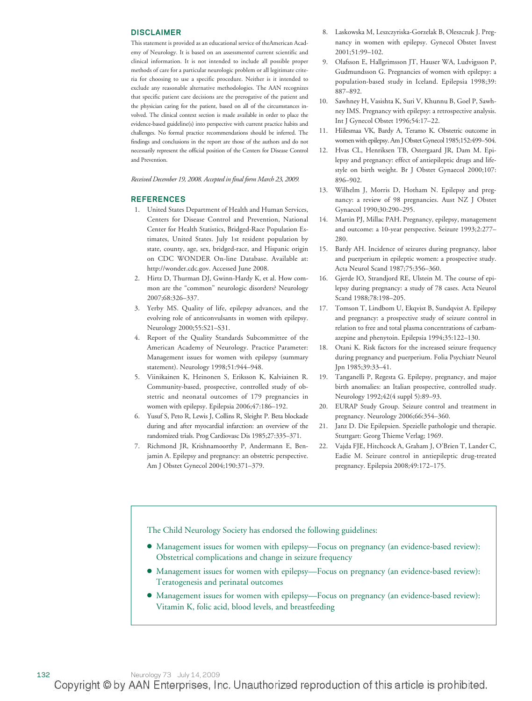#### **DISCLAIMER**

This statement is provided as an educational service of theAmerican Academy of Neurology. It is based on an assessmentof current scientific and clinical information. It is not intended to include all possible proper methods of care for a particular neurologic problem or all legitimate criteria for choosing to use a specific procedure. Neither is it intended to exclude any reasonable alternative methodologies. The AAN recognizes that specific patient care decisions are the prerogative of the patient and the physician caring for the patient, based on all of the circumstances involved. The clinical context section is made available in order to place the evidence-based guideline(s) into perspective with current practice habits and challenges. No formal practice recommendations should be inferred. The findings and conclusions in the report are those of the authors and do not necessarily represent the official position of the Centers for Disease Control and Prevention.

*Received December 19, 2008. Accepted in final form March 23, 2009.*

#### **REFERENCES**

- 1. United States Department of Health and Human Services, Centers for Disease Control and Prevention, National Center for Health Statistics, Bridged-Race Population Estimates, United States. July 1st resident population by state, county, age, sex, bridged-race, and Hispanic origin on CDC WONDER On-line Database. Available at: http://wonder.cdc.gov. Accessed June 2008.
- 2. Hirtz D, Thurman DJ, Gwinn-Hardy K, et al. How common are the "common" neurologic disorders? Neurology 2007;68:326–337.
- 3. Yerby MS. Quality of life, epilepsy advances, and the evolving role of anticonvulsants in women with epilepsy. Neurology 2000;55:S21–S31.
- 4. Report of the Quality Standards Subcommittee of the American Academy of Neurology. Practice Parameter: Management issues for women with epilepsy (summary statement). Neurology 1998;51:944–948.
- 5. Viinikainen K, Heinonen S, Eriksson K, Kalviainen R. Community-based, prospective, controlled study of obstetric and neonatal outcomes of 179 pregnancies in women with epilepsy. Epilepsia 2006;47:186–192.
- 6. Yusuf S, Peto R, Lewis J, Collins R, Sleight P. Beta blockade during and after myocardial infarction: an overview of the randomized trials. Prog Cardiovasc Dis 1985;27:335–371.
- 7. Richmond JR, Krishnamoorthy P, Andermann E, Benjamin A. Epilepsy and pregnancy: an obstetric perspective. Am J Obstet Gynecol 2004;190:371–379.
- 8. Laskowska M, Leszczyriska-Gorzelak B, Oleszczuk J. Pregnancy in women with epilepsy. Gynecol Obstet Invest 2001;51:99–102.
- 9. Olafsson E, Hallgrimsson JT, Hauser WA, Ludvigsson P, Gudmundsson G. Pregnancies of women with epilepsy: a population-based study in Iceland. Epilepsia 1998;39: 887–892.
- 10. Sawhney H, Vasishta K, Suri V, Khunnu B, Goel P, Sawhney IMS. Pregnancy with epilepsy: a retrospective analysis. Int J Gynecol Obstet 1996;54:17–22.
- 11. Hiilesmaa VK, Bardy A, Teramo K. Obstetric outcome in women with epilepsy. Am J Obstet Gynecol 1985;152:499–504.
- 12. Hvas CL, Henriksen TB, Ostergaard JR, Dam M. Epilepsy and pregnancy: effect of antiepileptic drugs and lifestyle on birth weight. Br J Obstet Gynaecol 2000;107: 896–902.
- 13. Wilhelm J, Morris D, Hotham N. Epilepsy and pregnancy: a review of 98 pregnancies. Aust NZ J Obstet Gynaecol 1990;30:290–295.
- 14. Martin PJ, Millac PAH. Pregnancy, epilepsy, management and outcome: a 10-year perspective. Seizure 1993;2:277– 280
- 15. Bardy AH. Incidence of seizures during pregnancy, labor and puerperium in epileptic women: a prospective study. Acta Neurol Scand 1987;75:356–360.
- 16. Gjerde IO, Strandjord RE, Ulstein M. The course of epilepsy during pregnancy: a study of 78 cases. Acta Neurol Scand 1988;78:198–205.
- 17. Tomson T, Lindbom U, Ekqvist B, Sundqvist A. Epilepsy and pregnancy: a prospective study of seizure control in relation to free and total plasma concentrations of carbamazepine and phenytoin. Epilepsia 1994;35:122–130.
- 18. Otani K. Risk factors for the increased seizure frequency during pregnancy and puerperium. Folia Psychiatr Neurol Jpn 1985;39:33–41.
- 19. Tanganelli P, Regesta G. Epilepsy, pregnancy, and major birth anomalies: an Italian prospective, controlled study. Neurology 1992;42(4 suppl 5):89–93.
- 20. EURAP Study Group. Seizure control and treatment in pregnancy. Neurology 2006;66:354–360.
- 21. Janz D. Die Epilepsien. Spezielle pathologie und therapie. Stuttgart: Georg Thieme Verlag; 1969.
- 22. Vajda FJE, Hitchcock A, Graham J, O'Brien T, Lander C, Eadie M. Seizure control in antiepileptic drug-treated pregnancy. Epilepsia 2008;49:172–175.

The Child Neurology Society has endorsed the following guidelines:

- Management issues for women with epilepsy—Focus on pregnancy (an evidence-based review): Obstetrical complications and change in seizure frequency
- Management issues for women with epilepsy—Focus on pregnancy (an evidence-based review): Teratogenesis and perinatal outcomes
- Management issues for women with epilepsy—Focus on pregnancy (an evidence-based review): Vitamin K, folic acid, blood levels, and breastfeeding